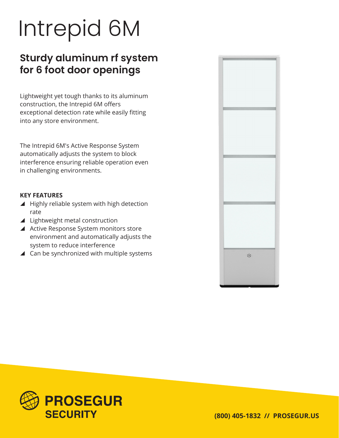# Intrepid 6M

## **Sturdy aluminum rf system for 6 foot door openings**

Lightweight yet tough thanks to its aluminum construction, the Intrepid 6M offers exceptional detection rate while easily fitting into any store environment.

The Intrepid 6M's Active Response System automatically adjusts the system to block interference ensuring reliable operation even in challenging environments.

## **KEY FEATURES**

- $\blacktriangle$  Highly reliable system with high detection rate
- $\blacktriangle$  Lightweight metal construction
- ▲ Active Response System monitors store environment and automatically adjusts the system to reduce interference
- $\blacktriangle$  Can be synchronized with multiple systems